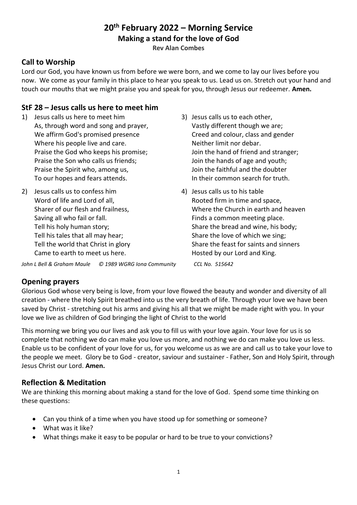# **20th February 2022 – Morning Service Making a stand for the love of God**

**Rev Alan Combes**

### **Call to Worship**

Lord our God, you have known us from before we were born, and we come to lay our lives before you now. We come as your family in this place to hear you speak to us. Lead us on. Stretch out your hand and touch our mouths that we might praise you and speak for you, through Jesus our redeemer. **Amen.**

### **StF 28 – Jesus calls us here to meet him**

- 1) Jesus calls us here to meet him As, through word and song and prayer, We affirm God's promised presence Where his people live and care. Praise the God who keeps his promise; Praise the Son who calls us friends; Praise the Spirit who, among us, To our hopes and fears attends.
- 2) Jesus calls us to confess him Word of life and Lord of all, Sharer of our flesh and frailness, Saving all who fail or fall. Tell his holy human story; Tell his tales that all may hear; Tell the world that Christ in glory Came to earth to meet us here.
- 3) Jesus calls us to each other, Vastly different though we are; Creed and colour, class and gender Neither limit nor debar. Join the hand of friend and stranger; Join the hands of age and youth; Join the faithful and the doubter In their common search for truth.
- 4) Jesus calls us to his table Rooted firm in time and space, Where the Church in earth and heaven Finds a common meeting place. Share the bread and wine, his body; Share the love of which we sing; Share the feast for saints and sinners Hosted by our Lord and King.

*John L Bell & Graham Maule © 1989 WGRG Iona Community CCL No. 515642*

### **Opening prayers**

Glorious God whose very being is love, from your love flowed the beauty and wonder and diversity of all creation - where the Holy Spirit breathed into us the very breath of life. Through your love we have been saved by Christ - stretching out his arms and giving his all that we might be made right with you. In your love we live as children of God bringing the light of Christ to the world

This morning we bring you our lives and ask you to fill us with your love again. Your love for us is so complete that nothing we do can make you love us more, and nothing we do can make you love us less. Enable us to be confident of your love for us, for you welcome us as we are and call us to take your love to the people we meet. Glory be to God - creator, saviour and sustainer - Father, Son and Holy Spirit, through Jesus Christ our Lord. **Amen.**

### **Reflection & Meditation**

We are thinking this morning about making a stand for the love of God. Spend some time thinking on these questions:

- Can you think of a time when you have stood up for something or someone?
- What was it like?
- What things make it easy to be popular or hard to be true to your convictions?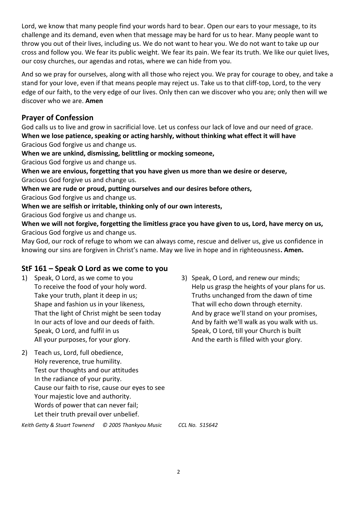Lord, we know that many people find your words hard to bear. Open our ears to your message, to its challenge and its demand, even when that message may be hard for us to hear. Many people want to throw you out of their lives, including us. We do not want to hear you. We do not want to take up our cross and follow you. We fear its public weight. We fear its pain. We fear its truth. We like our quiet lives, our cosy churches, our agendas and rotas, where we can hide from you.

And so we pray for ourselves, along with all those who reject you. We pray for courage to obey, and take a stand for your love, even if that means people may reject us. Take us to that cliff-top, Lord, to the very edge of our faith, to the very edge of our lives. Only then can we discover who you are; only then will we discover who we are. **Amen**

### **Prayer of Confession**

God calls us to live and grow in sacrificial love. Let us confess our lack of love and our need of grace. **When we lose patience, speaking or acting harshly, without thinking what effect it will have** Gracious God forgive us and change us.

**When we are unkind, dismissing, belittling or mocking someone,**

Gracious God forgive us and change us.

**When we are envious, forgetting that you have given us more than we desire or deserve,** Gracious God forgive us and change us.

**When we are rude or proud, putting ourselves and our desires before others,**

Gracious God forgive us and change us.

**When we are selfish or irritable, thinking only of our own interests,**

Gracious God forgive us and change us.

**When we will not forgive, forgetting the limitless grace you have given to us, Lord, have mercy on us,** Gracious God forgive us and change us.

May God, our rock of refuge to whom we can always come, rescue and deliver us, give us confidence in knowing our sins are forgiven in Christ's name. May we live in hope and in righteousness**. Amen.**

### **StF 161 – Speak O Lord as we come to you**

- 1) Speak, O Lord, as we come to you To receive the food of your holy word. Take your truth, plant it deep in us; Shape and fashion us in your likeness, That the light of Christ might be seen today In our acts of love and our deeds of faith. Speak, O Lord, and fulfil in us All your purposes, for your glory.
- Help us grasp the heights of your plans for us. Truths unchanged from the dawn of time That will echo down through eternity. And by grace we'll stand on your promises, And by faith we'll walk as you walk with us. Speak, O Lord, till your Church is built And the earth is filled with your glory.

3) Speak, O Lord, and renew our minds;

2) Teach us, Lord, full obedience, Holy reverence, true humility. Test our thoughts and our attitudes In the radiance of your purity. Cause our faith to rise, cause our eyes to see Your majestic love and authority. Words of power that can never fail; Let their truth prevail over unbelief.

*Keith Getty & Stuart Townend © 2005 Thankyou Music CCL No. 515642*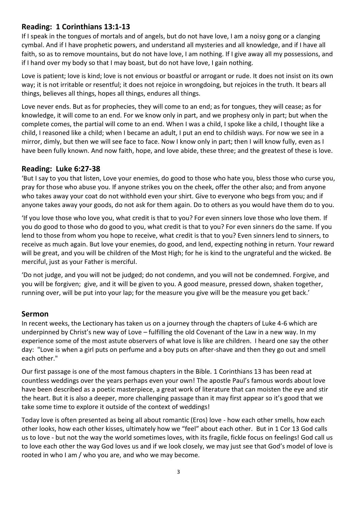### **Reading: 1 Corinthians 13:1-13**

If I speak in the tongues of mortals and of angels, but do not have love, I am a noisy gong or a clanging cymbal. And if I have prophetic powers, and understand all mysteries and all knowledge, and if I have all faith, so as to remove mountains, but do not have love, I am nothing. If I give away all my possessions, and if I hand over my body so that I may boast, but do not have love, I gain nothing.

Love is patient; love is kind; love is not envious or boastful or arrogant or rude. It does not insist on its own way; it is not irritable or resentful; it does not rejoice in wrongdoing, but rejoices in the truth. It bears all things, believes all things, hopes all things, endures all things.

Love never ends. But as for prophecies, they will come to an end; as for tongues, they will cease; as for knowledge, it will come to an end. For we know only in part, and we prophesy only in part; but when the complete comes, the partial will come to an end. When I was a child, I spoke like a child, I thought like a child, I reasoned like a child; when I became an adult, I put an end to childish ways. For now we see in a mirror, dimly, but then we will see face to face. Now I know only in part; then I will know fully, even as I have been fully known. And now faith, hope, and love abide, these three; and the greatest of these is love.

### **Reading: Luke 6:27-38**

'But I say to you that listen, Love your enemies, do good to those who hate you, bless those who curse you, pray for those who abuse you. If anyone strikes you on the cheek, offer the other also; and from anyone who takes away your coat do not withhold even your shirt. Give to everyone who begs from you; and if anyone takes away your goods, do not ask for them again. Do to others as you would have them do to you.

'If you love those who love you, what credit is that to you? For even sinners love those who love them. If you do good to those who do good to you, what credit is that to you? For even sinners do the same. If you lend to those from whom you hope to receive, what credit is that to you? Even sinners lend to sinners, to receive as much again. But love your enemies, do good, and lend, expecting nothing in return. Your reward will be great, and you will be children of the Most High; for he is kind to the ungrateful and the wicked. Be merciful, just as your Father is merciful.

'Do not judge, and you will not be judged; do not condemn, and you will not be condemned. Forgive, and you will be forgiven; give, and it will be given to you. A good measure, pressed down, shaken together, running over, will be put into your lap; for the measure you give will be the measure you get back.'

### **Sermon**

In recent weeks, the Lectionary has taken us on a journey through the chapters of Luke 4-6 which are underpinned by Christ's new way of Love – fulfilling the old Covenant of the Law in a new way. In my experience some of the most astute observers of what love is like are children. I heard one say the other day: "Love is when a girl puts on perfume and a boy puts on after-shave and then they go out and smell each other."

Our first passage is one of the most famous chapters in the Bible. 1 Corinthians 13 has been read at countless weddings over the years perhaps even your own! The apostle Paul's famous words about love have been described as a poetic masterpiece, a great work of literature that can moisten the eye and stir the heart. But it is also a deeper, more challenging passage than it may first appear so it's good that we take some time to explore it outside of the context of weddings!

Today love is often presented as being all about romantic (Eros) love - how each other smells, how each other looks, how each other kisses, ultimately how we "feel" about each other. But in 1 Cor 13 God calls us to love - but not the way the world sometimes loves, with its fragile, fickle focus on feelings! God call us to love each other the way God loves us and if we look closely, we may just see that God's model of love is rooted in who I am / who you are, and who we may become.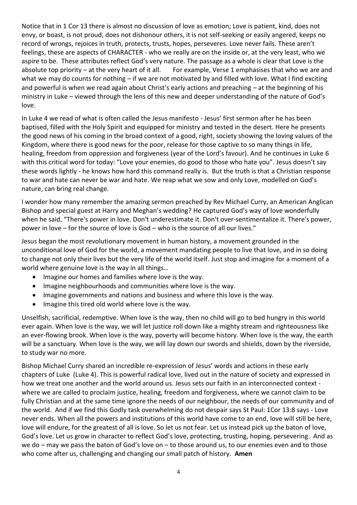Notice that in 1 Cor 13 there is almost no discussion of love as emotion; Love is patient, kind, does not envy, or boast, is not proud, does not dishonour others, it is not self-seeking or easily angered, keeps no record of wrongs, rejoices in truth, protects, trusts, hopes, perseveres. Love never fails. These aren't feelings, these are aspects of CHARACTER - who we really are on the inside or, at the very least, who we aspire to be. These attributes reflect God's very nature. The passage as a whole is clear that Love is the absolute top priority – at the very heart of it all. For example, Verse 1 emphasises that who we are and what we may do counts for nothing – if we are not motivated by and filled with love. What I find exciting and powerful is when we read again about Christ's early actions and preaching – at the beginning of his ministry in Luke – viewed through the lens of this new and deeper understanding of the nature of God's love.

In Luke 4 we read of what is often called the Jesus manifesto - Jesus' first sermon after he has been baptised, filled with the Holy Spirit and equipped for ministry and tested in the desert. Here he presents the good news of his coming in the broad context of a good, right, society showing the loving values of the Kingdom, where there is good news for the poor, release for those captive to so many things in life, healing, freedom from oppression and forgiveness (year of the Lord's favour). And he continues in Luke 6 with this critical word for today: "Love your enemies, do good to those who hate you". Jesus doesn't say these words lightly - he knows how hard this command really is. But the truth is that a Christian response to war and hate can never be war and hate. We reap what we sow and only Love, modelled on God's nature, can bring real change.

I wonder how many remember the amazing sermon preached by Rev Michael Curry, an American Anglican Bishop and special guest at Harry and Meghan's wedding? He captured God's way of love wonderfully when he said, "There's power in love. Don't underestimate it. Don't over-sentimentalize it. There's power, power in love – for the source of love is God – who is the source of all our lives."

Jesus began the most revolutionary movement in human history, a movement grounded in the unconditional love of God for the world, a movement mandating people to live that love, and in so doing to change not only their lives but the very life of the world itself. Just stop and imagine for a moment of a world where genuine love is the way in all things…

- Imagine our homes and families where love is the way.
- Imagine neighbourhoods and communities where love is the way.
- Imagine governments and nations and business and where this love is the way.
- Imagine this tired old world where love is the way.

Unselfish, sacrificial, redemptive. When love is the way, then no child will go to bed hungry in this world ever again. When love is the way, we will let justice roll down like a mighty stream and righteousness like an ever-flowing brook. When love is the way, poverty will become history. When love is the way, the earth will be a sanctuary. When love is the way, we will lay down our swords and shields, down by the riverside, to study war no more.

Bishop Michael Curry shared an incredible re-expression of Jesus' words and actions in these early chapters of Luke (Luke 4). This is powerful radical love, lived out in the nature of society and expressed in how we treat one another and the world around us. Jesus sets our faith in an interconnected context where we are called to proclaim justice, healing, freedom and forgiveness, where we cannot claim to be fully Christian and at the same time ignore the needs of our neighbour, the needs of our community and of the world. And if we find this Godly task overwhelming do not despair says St Paul: 1Cor 13:8 says - Love never ends. When all the powers and institutions of this world have come to an end, love will still be here, love will endure, for the greatest of all is love. So let us not fear. Let us instead pick up the baton of love, God's love. Let us grow in character to reflect God's love, protecting, trusting, hoping, persevering. And as we do – may we pass the baton of God's love on – to those around us, to our enemies even and to those who come after us, challenging and changing our small patch of history. **Amen**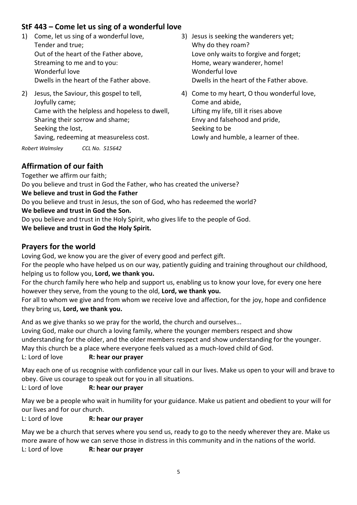# **StF 443 – Come let us sing of a wonderful love**

- 1) Come, let us sing of a wonderful love, Tender and true; Out of the heart of the Father above, Streaming to me and to you: Wonderful love Dwells in the heart of the Father above.
- 2) Jesus, the Saviour, this gospel to tell, Joyfully came; Came with the helpless and hopeless to dwell, Sharing their sorrow and shame; Seeking the lost, Saving, redeeming at measureless cost.

*Robert Walmsley CCL No. 515642*

- 3) Jesus is seeking the wanderers yet; Why do they roam? Love only waits to forgive and forget; Home, weary wanderer, home! Wonderful love Dwells in the heart of the Father above.
- 4) Come to my heart, O thou wonderful love, Come and abide, Lifting my life, till it rises above Envy and falsehood and pride, Seeking to be Lowly and humble, a learner of thee.

# **Affirmation of our faith**

Together we affirm our faith;

Do you believe and trust in God the Father, who has created the universe?

### **We believe and trust in God the Father**

Do you believe and trust in Jesus, the son of God, who has redeemed the world? **We believe and trust in God the Son.**

Do you believe and trust in the Holy Spirit, who gives life to the people of God.

### **We believe and trust in God the Holy Spirit.**

# **Prayers for the world**

Loving God, we know you are the giver of every good and perfect gift.

For the people who have helped us on our way, patiently guiding and training throughout our childhood, helping us to follow you, **Lord, we thank you.**

For the church family here who help and support us, enabling us to know your love, for every one here however they serve, from the young to the old, **Lord, we thank you.**

For all to whom we give and from whom we receive love and affection, for the joy, hope and confidence they bring us, **Lord, we thank you.**

And as we give thanks so we pray for the world, the church and ourselves...

Loving God, make our church a loving family, where the younger members respect and show understanding for the older, and the older members respect and show understanding for the younger. May this church be a place where everyone feels valued as a much-loved child of God.

L: Lord of love **R: hear our prayer**

May each one of us recognise with confidence your call in our lives. Make us open to your will and brave to obey. Give us courage to speak out for you in all situations.

### L: Lord of love **R: hear our prayer**

May we be a people who wait in humility for your guidance. Make us patient and obedient to your will for our lives and for our church.

L: Lord of love **R: hear our prayer**

May we be a church that serves where you send us, ready to go to the needy wherever they are. Make us more aware of how we can serve those in distress in this community and in the nations of the world. L: Lord of love **R: hear our prayer**